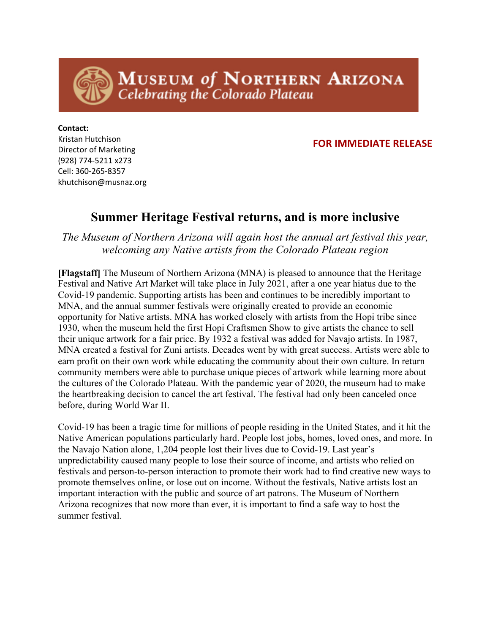MUSEUM of NORTHERN ARIZONA **Celebrating the Colorado Plateau** 

## **FOR IMMEDIATE RELEASE**

**Contact:**  Kristan Hutchison Director of Marketing (928) 774-5211 x273 Cell: 360-265-8357 khutchison@musnaz.org

## **Summer Heritage Festival returns, and is more inclusive**

*The Museum of Northern Arizona will again host the annual art festival this year, welcoming any Native artists from the Colorado Plateau region*

**[Flagstaff]** The Museum of Northern Arizona (MNA) is pleased to announce that the Heritage Festival and Native Art Market will take place in July 2021, after a one year hiatus due to the Covid-19 pandemic. Supporting artists has been and continues to be incredibly important to MNA, and the annual summer festivals were originally created to provide an economic opportunity for Native artists. MNA has worked closely with artists from the Hopi tribe since 1930, when the museum held the first Hopi Craftsmen Show to give artists the chance to sell their unique artwork for a fair price. By 1932 a festival was added for Navajo artists. In 1987, MNA created a festival for Zuni artists. Decades went by with great success. Artists were able to earn profit on their own work while educating the community about their own culture. In return community members were able to purchase unique pieces of artwork while learning more about the cultures of the Colorado Plateau. With the pandemic year of 2020, the museum had to make the heartbreaking decision to cancel the art festival. The festival had only been canceled once before, during World War II.

Covid-19 has been a tragic time for millions of people residing in the United States, and it hit the Native American populations particularly hard. People lost jobs, homes, loved ones, and more. In the Navajo Nation alone, 1,204 people lost their lives due to Covid-19. Last year's unpredictability caused many people to lose their source of income, and artists who relied on festivals and person-to-person interaction to promote their work had to find creative new ways to promote themselves online, or lose out on income. Without the festivals, Native artists lost an important interaction with the public and source of art patrons. The Museum of Northern Arizona recognizes that now more than ever, it is important to find a safe way to host the summer festival.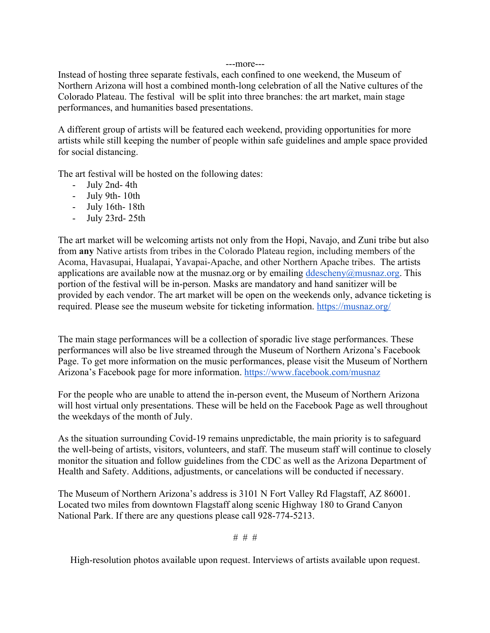## ---more---

Instead of hosting three separate festivals, each confined to one weekend, the Museum of Northern Arizona will host a combined month-long celebration of all the Native cultures of the Colorado Plateau. The festival will be split into three branches: the art market, main stage performances, and humanities based presentations.

A different group of artists will be featured each weekend, providing opportunities for more artists while still keeping the number of people within safe guidelines and ample space provided for social distancing.

The art festival will be hosted on the following dates:

- July 2nd- 4th
- July 9th- 10th
- July 16th- 18th
- July 23rd- 25th

The art market will be welcoming artists not only from the Hopi, Navajo, and Zuni tribe but also from **any** Native artists from tribes in the Colorado Plateau region, including members of the Acoma, Havasupai, Hualapai, Yavapai-Apache, and other Northern Apache tribes. The artists applications are available now at the musnaz.org or by emailing  $ddescheny@musnaz.org$ . This portion of the festival will be in-person. Masks are mandatory and hand sanitizer will be provided by each vendor. The art market will be open on the weekends only, advance ticketing is required. Please see the museum website for ticketing information. https://musnaz.org/

The main stage performances will be a collection of sporadic live stage performances. These performances will also be live streamed through the Museum of Northern Arizona's Facebook Page. To get more information on the music performances, please visit the Museum of Northern Arizona's Facebook page for more information. https://www.facebook.com/musnaz

For the people who are unable to attend the in-person event, the Museum of Northern Arizona will host virtual only presentations. These will be held on the Facebook Page as well throughout the weekdays of the month of July.

As the situation surrounding Covid-19 remains unpredictable, the main priority is to safeguard the well-being of artists, visitors, volunteers, and staff. The museum staff will continue to closely monitor the situation and follow guidelines from the CDC as well as the Arizona Department of Health and Safety. Additions, adjustments, or cancelations will be conducted if necessary.

The Museum of Northern Arizona's address is 3101 N Fort Valley Rd Flagstaff, AZ 86001. Located two miles from downtown Flagstaff along scenic Highway 180 to Grand Canyon National Park. If there are any questions please call 928-774-5213.

# # #

High-resolution photos available upon request. Interviews of artists available upon request.